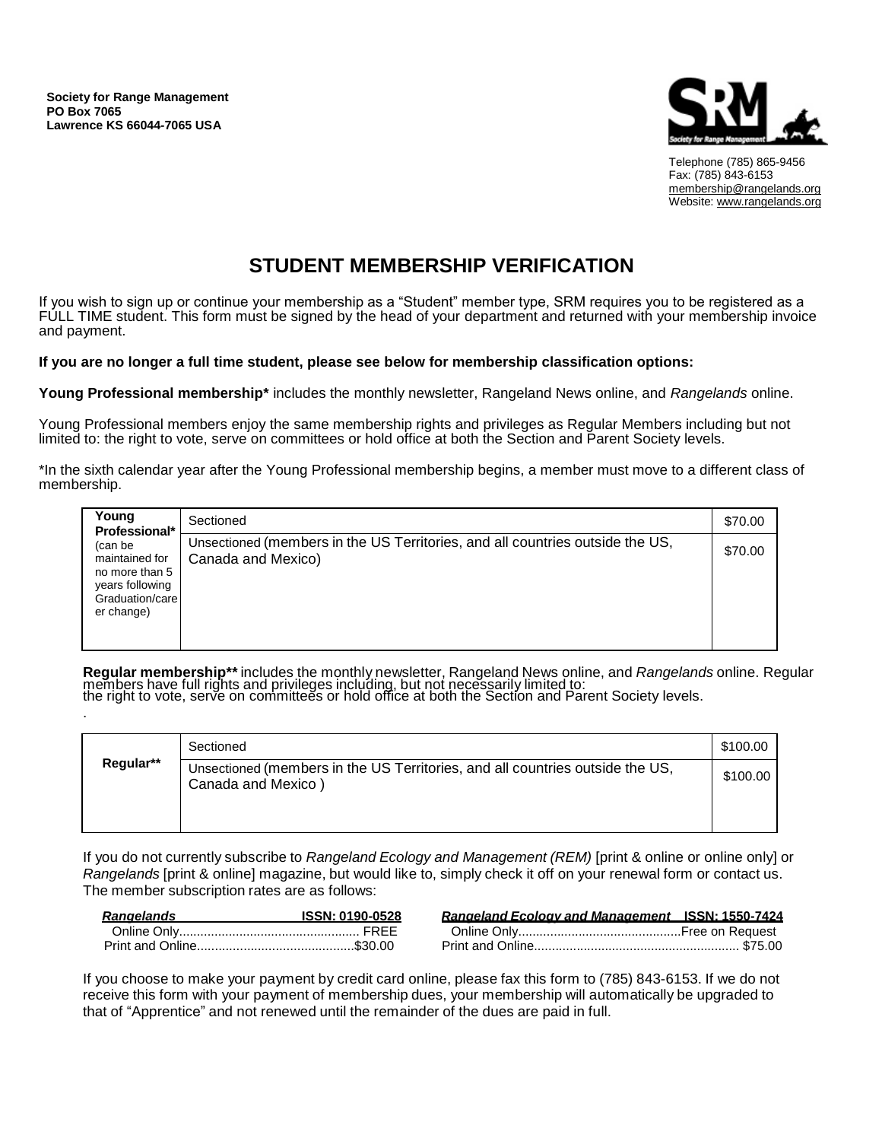**Society for Range Management PO Box 7065 Lawrence KS 66044-7065 USA**

.



Telephone (785) 865-9456 Fax: (785) 843-6153 [membership@rangelands.org](mailto:membership@rangelands.org) Website: [www.rangelands.org](http://www.rangelands.org/)

## **STUDENT MEMBERSHIP VERIFICATION**

If you wish to sign up or continue your membership as a "Student" member type, SRM requires you to be registered as a FULL TIME student. This form must be signed by the head of your department and returned with your membership invoice and payment.

**If you are no longer a full time student, please see below for membership classification options:** 

**Young Professional membership\*** includes the monthly newsletter, Rangeland News online, and *Rangelands* online.

Young Professional members enjoy the same membership rights and privileges as Regular Members including but not limited to: the right to vote, serve on committees or hold office at both the Section and Parent Society levels.

\*In the sixth calendar year after the Young Professional membership begins, a member must move to a different class of membership.

| Young<br>Professional*                                                                          | Sectioned                                                                                           | \$70.00 |
|-------------------------------------------------------------------------------------------------|-----------------------------------------------------------------------------------------------------|---------|
| (can be<br>maintained for<br>no more than 5<br>years following<br>Graduation/care<br>er change) | Unsectioned (members in the US Territories, and all countries outside the US,<br>Canada and Mexico) | \$70.00 |

**Regular membership\*\*** includes the monthly newsletter, Rangeland News online, and *Rangelands* online. Regular members have full rights and privileges including, but not necessarily limited to: the right to vote, serve on committees or hold office at both the Section and Parent Society levels.

|           | Sectioned                                                                                           | \$100.00 |
|-----------|-----------------------------------------------------------------------------------------------------|----------|
| Regular** | Unsectioned (members in the US Territories, and all countries outside the US,<br>Canada and Mexico) | \$100.00 |

If you do not currently subscribe to *Rangeland Ecology and Management (REM)* [print & online or online only] or *Rangelands* [print & online] magazine, but would like to, simply check it off on your renewal form or contact us. The member subscription rates are as follows:

| Rangelands | <b>ISSN: 0190-0528</b> | <b>Rangeland Ecology and Management ISSN: 1550-7424</b> |
|------------|------------------------|---------------------------------------------------------|
|            |                        |                                                         |
|            |                        |                                                         |

If you choose to make your payment by credit card online, please fax this form to (785) 843-6153. If we do not receive this form with your payment of membership dues, your membership will automatically be upgraded to that of "Apprentice" and not renewed until the remainder of the dues are paid in full.